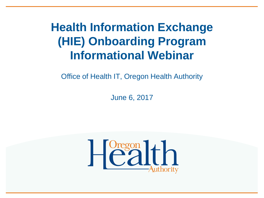#### **Health Information Exchange (HIE) Onboarding Program Informational Webinar**

Office of Health IT, Oregon Health Authority

June 6, 2017

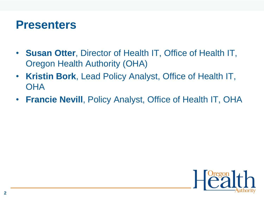#### **Presenters**

- **Susan Otter**, Director of Health IT, Office of Health IT, Oregon Health Authority (OHA)
- **Kristin Bork**, Lead Policy Analyst, Office of Health IT, **OHA**
- **Francie Nevill**, Policy Analyst, Office of Health IT, OHA

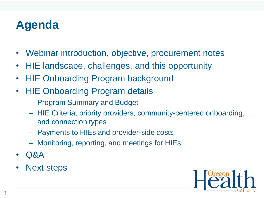## **Agenda**

- Webinar introduction, objective, procurement notes
- HIE landscape, challenges, and this opportunity
- HIE Onboarding Program background
- HIE Onboarding Program details
	- Program Summary and Budget
	- HIE Criteria, priority providers, community-centered onboarding, and connection types
	- Payments to HIEs and provider-side costs
	- Monitoring, reporting, and meetings for HIEs
- Q&A
- Next steps

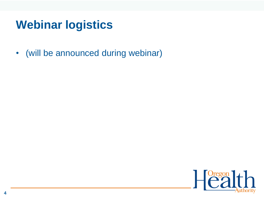### **Webinar logistics**

• (will be announced during webinar)

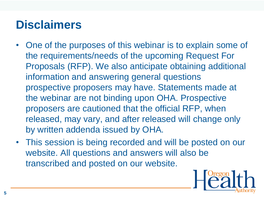### **Disclaimers**

- One of the purposes of this webinar is to explain some of the requirements/needs of the upcoming Request For Proposals (RFP). We also anticipate obtaining additional information and answering general questions prospective proposers may have. Statements made at the webinar are not binding upon OHA. Prospective proposers are cautioned that the official RFP, when released, may vary, and after released will change only by written addenda issued by OHA.
- This session is being recorded and will be posted on our website. All questions and answers will also be transcribed and posted on our website.

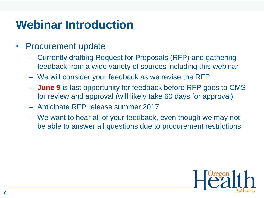## **Webinar Introduction**

- Procurement update
	- Currently drafting Request for Proposals (RFP) and gathering feedback from a wide variety of sources including this webinar
	- We will consider your feedback as we revise the RFP
	- **June 9** is last opportunity for feedback before RFP goes to CMS for review and approval (will likely take 60 days for approval)
	- Anticipate RFP release summer 2017
	- We want to hear all of your feedback, even though we may not be able to answer all questions due to procurement restrictions

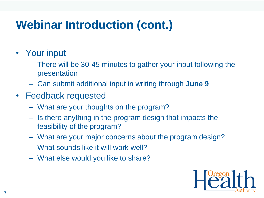# **Webinar Introduction (cont.)**

- Your input
	- There will be 30-45 minutes to gather your input following the presentation
	- Can submit additional input in writing through **June 9**
- Feedback requested
	- What are your thoughts on the program?
	- Is there anything in the program design that impacts the feasibility of the program?
	- What are your major concerns about the program design?
	- What sounds like it will work well?
	- What else would you like to share?

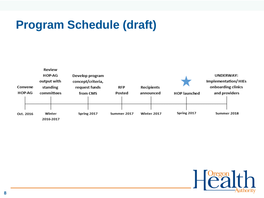### **Program Schedule (draft)**



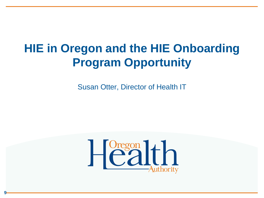### **HIE in Oregon and the HIE Onboarding Program Opportunity**

Susan Otter, Director of Health IT



**9**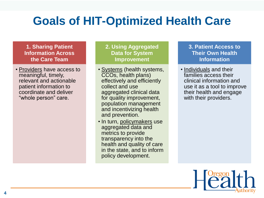## **Goals of HIT-Optimized Health Care**

#### **1. Sharing Patient Information Across the Care Team**

• Providers have access to meaningful, timely, relevant and actionable patient information to coordinate and deliver "whole person" care.

#### **2. Using Aggregated Data for System Improvement**

- Systems (health systems, CCOs, health plans) effectively and efficiently collect and use aggregated clinical data for quality improvement, population management and incentivizing health and prevention.
- In turn, policymakers use aggregated data and metrics to provide transparency into the health and quality of care in the state, and to inform policy development.

#### **3. Patient Access to Their Own Health Information**

• Individuals and their families access their clinical information and use it as a tool to improve their health and engage with their providers.

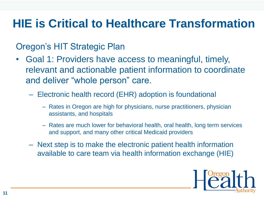### **HIE is Critical to Healthcare Transformation**

#### Oregon's HIT Strategic Plan

- Goal 1: Providers have access to meaningful, timely, relevant and actionable patient information to coordinate and deliver "whole person" care.
	- Electronic health record (EHR) adoption is foundational
		- Rates in Oregon are high for physicians, nurse practitioners, physician assistants, and hospitals
		- Rates are much lower for behavioral health, oral health, long term services and support, and many other critical Medicaid providers
	- Next step is to make the electronic patient health information available to care team via health information exchange (HIE)

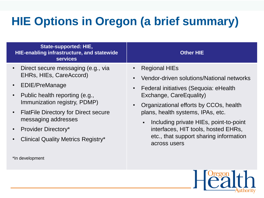## **HIE Options in Oregon (a brief summary)**

| <b>State-supported: HIE,</b><br>HIE-enabling infrastructure, and statewide<br><b>services</b>                                                                                                                                                                                                                                                          | <b>Other HIE</b>                                                                                                                                                                                                                                                                                                                                                                  |
|--------------------------------------------------------------------------------------------------------------------------------------------------------------------------------------------------------------------------------------------------------------------------------------------------------------------------------------------------------|-----------------------------------------------------------------------------------------------------------------------------------------------------------------------------------------------------------------------------------------------------------------------------------------------------------------------------------------------------------------------------------|
| Direct secure messaging (e.g., via<br>$\bullet$<br>EHRs, HIEs, CareAccord)<br>EDIE/PreManage<br>$\bullet$<br>Public health reporting (e.g.,<br>Immunization registry, PDMP)<br>$\bullet$<br><b>FlatFile Directory for Direct secure</b><br>$\bullet$<br>messaging addresses<br><b>Provider Directory*</b><br><b>Clinical Quality Metrics Registry*</b> | <b>Regional HIEs</b><br>Vendor-driven solutions/National networks<br>Federal initiatives (Sequoia: eHealth<br>Exchange, CareEquality)<br>Organizational efforts by CCOs, health<br>plans, health systems, IPAs, etc.<br>Including private HIEs, point-to-point<br>$\blacksquare$<br>interfaces, HIT tools, hosted EHRs,<br>etc., that support sharing information<br>across users |

\*In development

 $H^{\text{Oregon}}$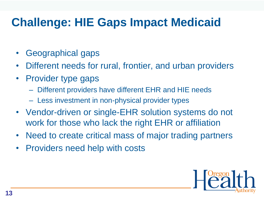## **Challenge: HIE Gaps Impact Medicaid**

- Geographical gaps
- Different needs for rural, frontier, and urban providers
- Provider type gaps
	- Different providers have different EHR and HIE needs
	- Less investment in non-physical provider types
- Vendor-driven or single-EHR solution systems do not work for those who lack the right EHR or affiliation
- Need to create critical mass of major trading partners
- Providers need help with costs

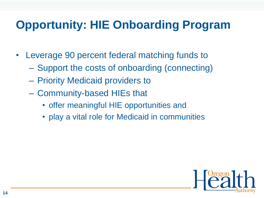## **Opportunity: HIE Onboarding Program**

- Leverage 90 percent federal matching funds to
	- Support the costs of onboarding (connecting)
	- Priority Medicaid providers to
	- Community-based HIEs that
		- offer meaningful HIE opportunities and
		- play a vital role for Medicaid in communities

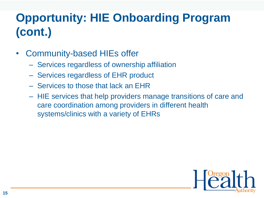# **Opportunity: HIE Onboarding Program (cont.)**

- Community-based HIEs offer
	- Services regardless of ownership affiliation
	- Services regardless of EHR product
	- Services to those that lack an EHR
	- HIE services that help providers manage transitions of care and care coordination among providers in different health systems/clinics with a variety of EHRs

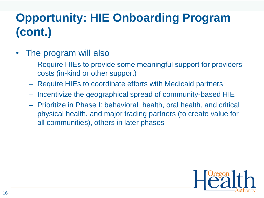# **Opportunity: HIE Onboarding Program (cont.)**

- The program will also
	- Require HIEs to provide some meaningful support for providers' costs (in-kind or other support)
	- Require HIEs to coordinate efforts with Medicaid partners
	- Incentivize the geographical spread of community-based HIE
	- Prioritize in Phase I: behavioral health, oral health, and critical physical health, and major trading partners (to create value for all communities), others in later phases

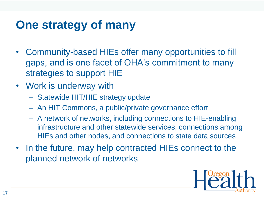#### **One strategy of many**

- Community-based HIEs offer many opportunities to fill gaps, and is one facet of OHA's commitment to many strategies to support HIE
- Work is underway with
	- Statewide HIT/HIE strategy update
	- An HIT Commons, a public/private governance effort
	- A network of networks, including connections to HIE-enabling infrastructure and other statewide services, connections among HIEs and other nodes, and connections to state data sources
- In the future, may help contracted HIEs connect to the planned network of networks

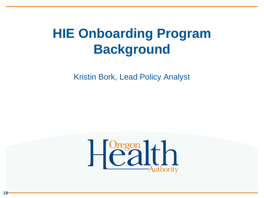# **HIE Onboarding Program Background**

Kristin Bork, Lead Policy Analyst



**18**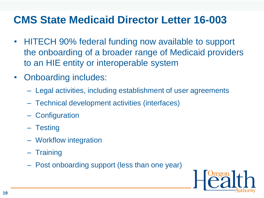#### **CMS State Medicaid Director Letter 16-003**

- HITECH 90% federal funding now available to support the onboarding of a broader range of Medicaid providers to an HIE entity or interoperable system
- Onboarding includes:
	- Legal activities, including establishment of user agreements
	- Technical development activities (interfaces)
	- Configuration
	- Testing
	- Workflow integration
	- Training
	- Post onboarding support (less than one year)

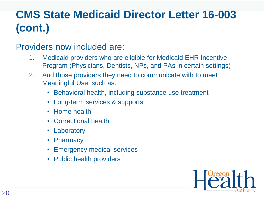## **CMS State Medicaid Director Letter 16-003 (cont.)**

#### Providers now included are:

- 1. Medicaid providers who are eligible for Medicaid EHR Incentive Program (Physicians, Dentists, NPs, and PAs in certain settings)
- 2. And those providers they need to communicate with to meet Meaningful Use, such as:
	- Behavioral health, including substance use treatment
	- Long-term services & supports
	- Home health
	- Correctional health
	- Laboratory
	- Pharmacy
	- Emergency medical services
	- Public health providers

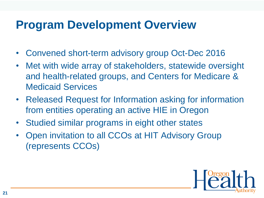#### **Program Development Overview**

- Convened short-term advisory group Oct-Dec 2016
- Met with wide array of stakeholders, statewide oversight and health-related groups, and Centers for Medicare & Medicaid Services
- Released Request for Information asking for information from entities operating an active HIE in Oregon
- Studied similar programs in eight other states
- Open invitation to all CCOs at HIT Advisory Group (represents CCOs)

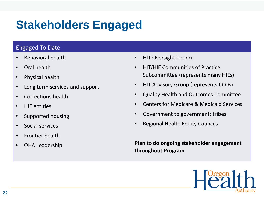## **Stakeholders Engaged**

#### Engaged To Date

- Behavioral health
- Oral health
- Physical health
- Long term services and support
- Corrections health
- HIE entities
- Supported housing
- Social services
- Frontier health
- OHA Leadership
- HIT Oversight Council
- HIT/HIE Communities of Practice Subcommittee (represents many HIEs)
- HIT Advisory Group (represents CCOs)
- Quality Health and Outcomes Committee
- Centers for Medicare & Medicaid Services
- Government to government: tribes
- Regional Health Equity Councils

**Plan to do ongoing stakeholder engagement throughout Program**

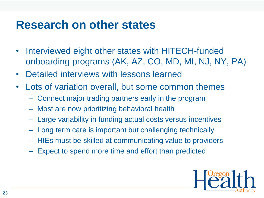#### **Research on other states**

- Interviewed eight other states with HITECH-funded onboarding programs (AK, AZ, CO, MD, MI, NJ, NY, PA)
- Detailed interviews with lessons learned
- Lots of variation overall, but some common themes
	- Connect major trading partners early in the program
	- Most are now prioritizing behavioral health
	- Large variability in funding actual costs versus incentives
	- Long term care is important but challenging technically
	- HIEs must be skilled at communicating value to providers
	- Expect to spend more time and effort than predicted

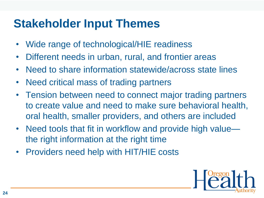### **Stakeholder Input Themes**

- Wide range of technological/HIE readiness
- Different needs in urban, rural, and frontier areas
- Need to share information statewide/across state lines
- Need critical mass of trading partners
- Tension between need to connect major trading partners to create value and need to make sure behavioral health, oral health, smaller providers, and others are included
- Need tools that fit in workflow and provide high value the right information at the right time
- Providers need help with HIT/HIE costs

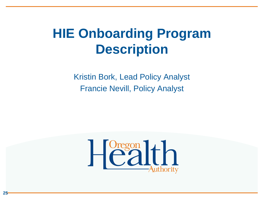# **HIE Onboarding Program Description**

Kristin Bork, Lead Policy Analyst Francie Nevill, Policy Analyst



**25**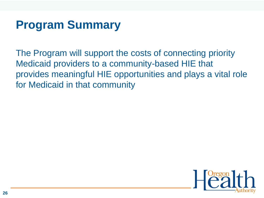#### **Program Summary**

The Program will support the costs of connecting priority Medicaid providers to a community-based HIE that provides meaningful HIE opportunities and plays a vital role for Medicaid in that community

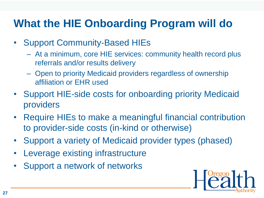#### **What the HIE Onboarding Program will do**

- Support Community-Based HIEs
	- At a minimum, core HIE services: community health record plus referrals and/or results delivery
	- Open to priority Medicaid providers regardless of ownership affiliation or EHR used
- Support HIE-side costs for onboarding priority Medicaid providers
- Require HIEs to make a meaningful financial contribution to provider-side costs (in-kind or otherwise)
- Support a variety of Medicaid provider types (phased)
- Leverage existing infrastructure
- Support a network of networks

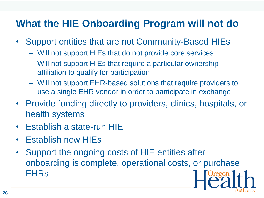#### **What the HIE Onboarding Program will not do**

- Support entities that are not Community-Based HIEs
	- Will not support HIEs that do not provide core services
	- Will not support HIEs that require a particular ownership affiliation to qualify for participation
	- Will not support EHR-based solutions that require providers to use a single EHR vendor in order to participate in exchange
- Provide funding directly to providers, clinics, hospitals, or health systems
- Establish a state-run HIE
- Establish new HIEs
- Support the ongoing costs of HIE entities after onboarding is complete, operational costs, or purchase EHRs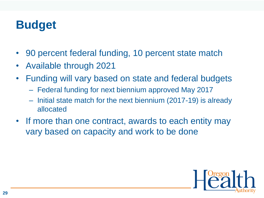#### **Budget**

- 90 percent federal funding, 10 percent state match
- Available through 2021
- Funding will vary based on state and federal budgets
	- Federal funding for next biennium approved May 2017
	- Initial state match for the next biennium (2017-19) is already allocated
- If more than one contract, awards to each entity may vary based on capacity and work to be done

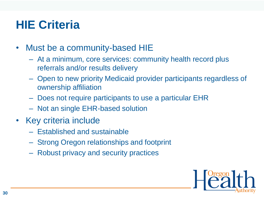## **HIE Criteria**

- Must be a community-based HIE
	- At a minimum, core services: community health record plus referrals and/or results delivery
	- Open to new priority Medicaid provider participants regardless of ownership affiliation
	- Does not require participants to use a particular EHR
	- Not an single EHR-based solution
- Key criteria include
	- Established and sustainable
	- Strong Oregon relationships and footprint
	- Robust privacy and security practices

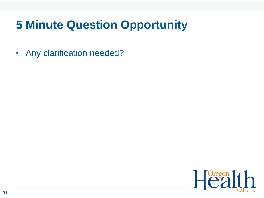## **5 Minute Question Opportunity**

• Any clarification needed?

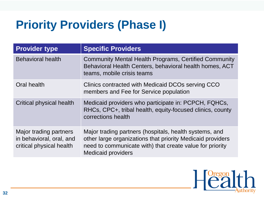## **Priority Providers (Phase I)**

| <b>Provider type</b>                                                           | <b>Specific Providers</b>                                                                                                                                                                                     |
|--------------------------------------------------------------------------------|---------------------------------------------------------------------------------------------------------------------------------------------------------------------------------------------------------------|
| <b>Behavioral health</b>                                                       | <b>Community Mental Health Programs, Certified Community</b><br>Behavioral Health Centers, behavioral health homes, ACT<br>teams, mobile crisis teams                                                         |
| Oral health                                                                    | Clinics contracted with Medicaid DCOs serving CCO<br>members and Fee for Service population                                                                                                                   |
| Critical physical health                                                       | Medicaid providers who participate in: PCPCH, FQHCs,<br>RHCs, CPC+, tribal health, equity-focused clinics, county<br>corrections health                                                                       |
| Major trading partners<br>in behavioral, oral, and<br>critical physical health | Major trading partners (hospitals, health systems, and<br>other large organizations that priority Medicaid providers<br>need to communicate with) that create value for priority<br><b>Medicaid providers</b> |

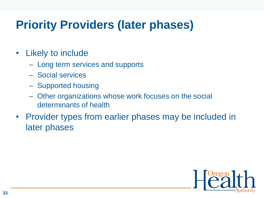## **Priority Providers (later phases)**

- Likely to include
	- Long term services and supports
	- Social services
	- Supported housing
	- Other organizations whose work focuses on the social determinants of health
- Provider types from earlier phases may be included in later phases

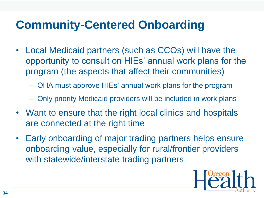## **Community-Centered Onboarding**

- Local Medicaid partners (such as CCOs) will have the opportunity to consult on HIEs' annual work plans for the program (the aspects that affect their communities)
	- OHA must approve HIEs' annual work plans for the program
	- Only priority Medicaid providers will be included in work plans
- Want to ensure that the right local clinics and hospitals are connected at the right time
- Early onboarding of major trading partners helps ensure onboarding value, especially for rural/frontier providers with statewide/interstate trading partners

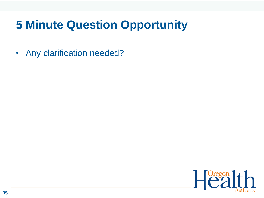## **5 Minute Question Opportunity**

• Any clarification needed?

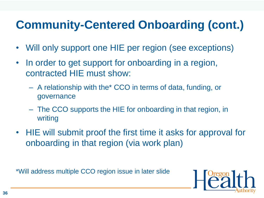## **Community-Centered Onboarding (cont.)**

- Will only support one HIE per region (see exceptions)
- In order to get support for onboarding in a region, contracted HIE must show:
	- A relationship with the\* CCO in terms of data, funding, or governance
	- The CCO supports the HIE for onboarding in that region, in writing
- HIE will submit proof the first time it asks for approval for onboarding in that region (via work plan)

\*Will address multiple CCO region issue in later slide

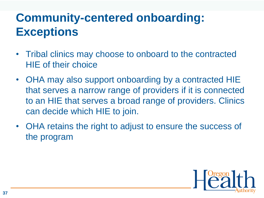## **Community-centered onboarding: Exceptions**

- Tribal clinics may choose to onboard to the contracted HIE of their choice
- OHA may also support onboarding by a contracted HIE that serves a narrow range of providers if it is connected to an HIE that serves a broad range of providers. Clinics can decide which HIE to join.
- OHA retains the right to adjust to ensure the success of the program

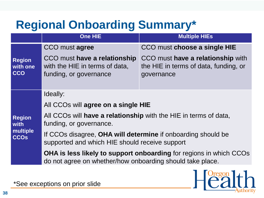## **Regional Onboarding Summary\***

|                                                  | <b>One HIE</b>                                                                                                                         | <b>Multiple HIEs</b>                                                                     |  |
|--------------------------------------------------|----------------------------------------------------------------------------------------------------------------------------------------|------------------------------------------------------------------------------------------|--|
|                                                  | CCO must agree                                                                                                                         | CCO must choose a single HIE                                                             |  |
| <b>Region</b><br>with one<br><b>CCO</b>          | CCO must have a relationship<br>with the HIE in terms of data,<br>funding, or governance                                               | CCO must have a relationship with<br>the HIE in terms of data, funding, or<br>governance |  |
| <b>Region</b><br>with<br>multiple<br><b>CCOs</b> | Ideally:                                                                                                                               |                                                                                          |  |
|                                                  | All CCOs will agree on a single HIE                                                                                                    |                                                                                          |  |
|                                                  | All CCOs will have a relationship with the HIE in terms of data,<br>funding, or governance.                                            |                                                                                          |  |
|                                                  | If CCOs disagree, OHA will determine if onboarding should be<br>supported and which HIE should receive support                         |                                                                                          |  |
|                                                  | <b>OHA is less likely to support onboarding for regions in which CCOs</b><br>do not agree on whether/how onboarding should take place. |                                                                                          |  |



\*See exceptions on prior slide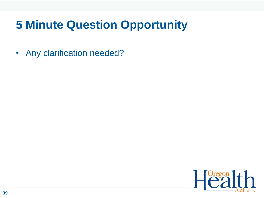## **5 Minute Question Opportunity**

• Any clarification needed?

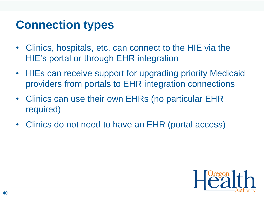#### **Connection types**

- Clinics, hospitals, etc. can connect to the HIE via the HIE's portal or through EHR integration
- HIEs can receive support for upgrading priority Medicaid providers from portals to EHR integration connections
- Clinics can use their own EHRs (no particular EHR required)
- Clinics do not need to have an EHR (portal access)

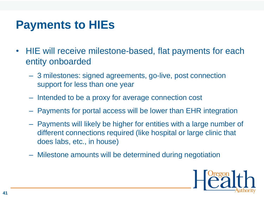#### **Payments to HIEs**

- HIE will receive milestone-based, flat payments for each entity onboarded
	- 3 milestones: signed agreements, go-live, post connection support for less than one year
	- Intended to be a proxy for average connection cost
	- Payments for portal access will be lower than EHR integration
	- Payments will likely be higher for entities with a large number of different connections required (like hospital or large clinic that does labs, etc., in house)
	- Milestone amounts will be determined during negotiation

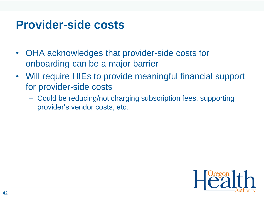#### **Provider-side costs**

- OHA acknowledges that provider-side costs for onboarding can be a major barrier
- Will require HIEs to provide meaningful financial support for provider-side costs
	- Could be reducing/not charging subscription fees, supporting provider's vendor costs, etc.

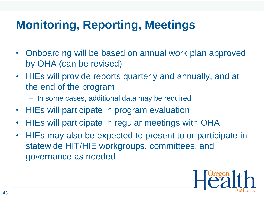## **Monitoring, Reporting, Meetings**

- Onboarding will be based on annual work plan approved by OHA (can be revised)
- HIEs will provide reports quarterly and annually, and at the end of the program
	- In some cases, additional data may be required
- HIEs will participate in program evaluation
- HIEs will participate in regular meetings with OHA
- HIEs may also be expected to present to or participate in statewide HIT/HIE workgroups, committees, and governance as needed

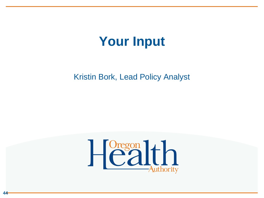# **Your Input**

Kristin Bork, Lead Policy Analyst



**44**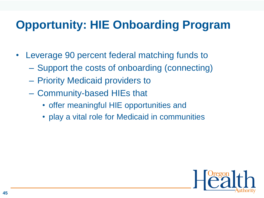## **Opportunity: HIE Onboarding Program**

- Leverage 90 percent federal matching funds to
	- Support the costs of onboarding (connecting)
	- Priority Medicaid providers to
	- Community-based HIEs that
		- offer meaningful HIE opportunities and
		- play a vital role for Medicaid in communities

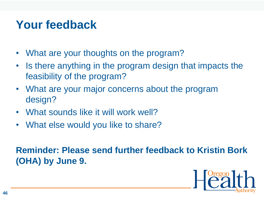#### **Your feedback**

- What are your thoughts on the program?
- Is there anything in the program design that impacts the feasibility of the program?
- What are your major concerns about the program design?
- What sounds like it will work well?
- What else would you like to share?

#### **Reminder: Please send further feedback to Kristin Bork (OHA) by June 9.**

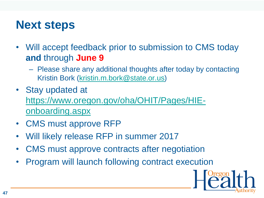#### **Next steps**

- Will accept feedback prior to submission to CMS today **and** through **June 9**
	- Please share any additional thoughts after today by contacting Kristin Bork [\(kristin.m.bork@state.or.us\)](mailto:kristin.bork@state.or.us)
- Stay updated at [https://www.oregon.gov/oha/OHIT/Pages/HIE](https://www.oregon.gov/oha/OHIT/Pages/HIE-onboarding.aspx)onboarding.aspx
- CMS must approve RFP
- Will likely release RFP in summer 2017
- CMS must approve contracts after negotiation
- Program will launch following contract execution